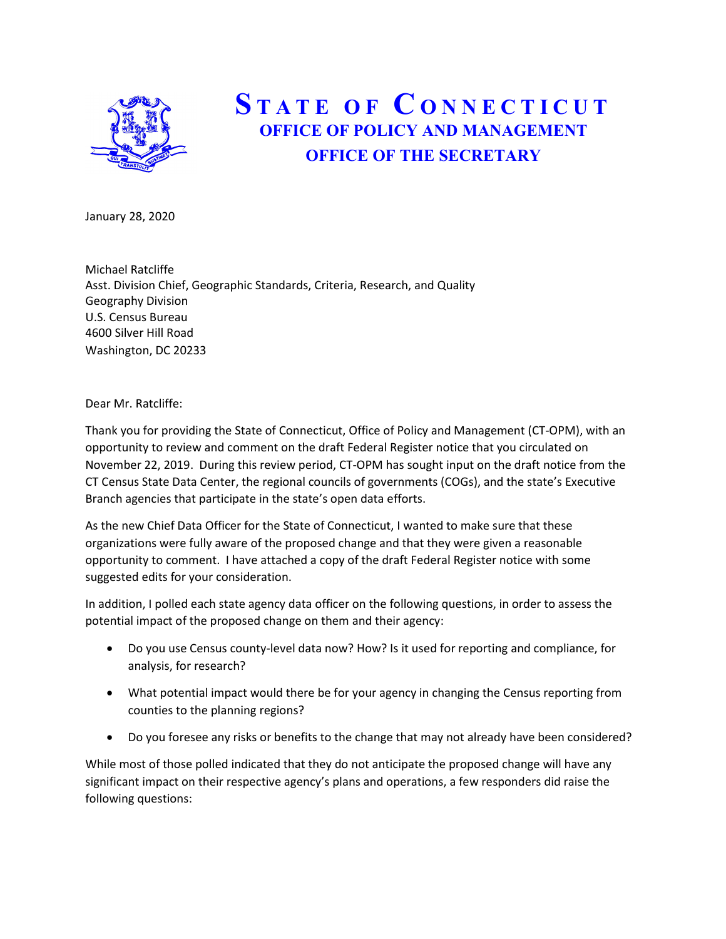

## STATE OF CONNECTICUT OFFICE OF POLICY AND MANAGEMENT OFFICE OF THE SECRETARY

January 28, 2020

Michael Ratcliffe Asst. Division Chief, Geographic Standards, Criteria, Research, and Quality Geography Division U.S. Census Bureau 4600 Silver Hill Road Washington, DC 20233

Dear Mr. Ratcliffe:

Thank you for providing the State of Connecticut, Office of Policy and Management (CT-OPM), with an opportunity to review and comment on the draft Federal Register notice that you circulated on November 22, 2019. During this review period, CT-OPM has sought input on the draft notice from the CT Census State Data Center, the regional councils of governments (COGs), and the state's Executive Branch agencies that participate in the state's open data efforts.

As the new Chief Data Officer for the State of Connecticut, I wanted to make sure that these organizations were fully aware of the proposed change and that they were given a reasonable opportunity to comment. I have attached a copy of the draft Federal Register notice with some suggested edits for your consideration.

In addition, I polled each state agency data officer on the following questions, in order to assess the potential impact of the proposed change on them and their agency:

- Do you use Census county-level data now? How? Is it used for reporting and compliance, for analysis, for research?
- What potential impact would there be for your agency in changing the Census reporting from counties to the planning regions?
- Do you foresee any risks or benefits to the change that may not already have been considered?

While most of those polled indicated that they do not anticipate the proposed change will have any significant impact on their respective agency's plans and operations, a few responders did raise the following questions: